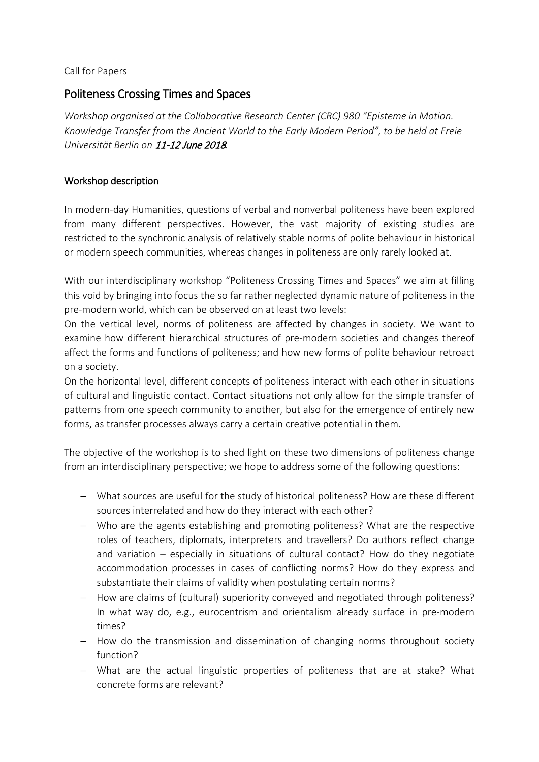Call for Papers

# Politeness Crossing Times and Spaces

*Workshop organised at the Collaborative Research Center (CRC) 980 "Episteme in Motion. Knowledge Transfer from the Ancient World to the Early Modern Period", to be held at Freie Universität Berlin on* 11-12 June 2018*.* 

# Workshop description

In modern-day Humanities, questions of verbal and nonverbal politeness have been explored from many different perspectives. However, the vast majority of existing studies are restricted to the synchronic analysis of relatively stable norms of polite behaviour in historical or modern speech communities, whereas changes in politeness are only rarely looked at.

With our interdisciplinary workshop "Politeness Crossing Times and Spaces" we aim at filling this void by bringing into focus the so far rather neglected dynamic nature of politeness in the pre-modern world, which can be observed on at least two levels:

On the vertical level, norms of politeness are affected by changes in society. We want to examine how different hierarchical structures of pre-modern societies and changes thereof affect the forms and functions of politeness; and how new forms of polite behaviour retroact on a society.

On the horizontal level, different concepts of politeness interact with each other in situations of cultural and linguistic contact. Contact situations not only allow for the simple transfer of patterns from one speech community to another, but also for the emergence of entirely new forms, as transfer processes always carry a certain creative potential in them.

The objective of the workshop is to shed light on these two dimensions of politeness change from an interdisciplinary perspective; we hope to address some of the following questions:

- − What sources are useful for the study of historical politeness? How are these different sources interrelated and how do they interact with each other?
- − Who are the agents establishing and promoting politeness? What are the respective roles of teachers, diplomats, interpreters and travellers? Do authors reflect change and variation – especially in situations of cultural contact? How do they negotiate accommodation processes in cases of conflicting norms? How do they express and substantiate their claims of validity when postulating certain norms?
- − How are claims of (cultural) superiority conveyed and negotiated through politeness? In what way do, e.g., eurocentrism and orientalism already surface in pre-modern times?
- − How do the transmission and dissemination of changing norms throughout society function?
- − What are the actual linguistic properties of politeness that are at stake? What concrete forms are relevant?